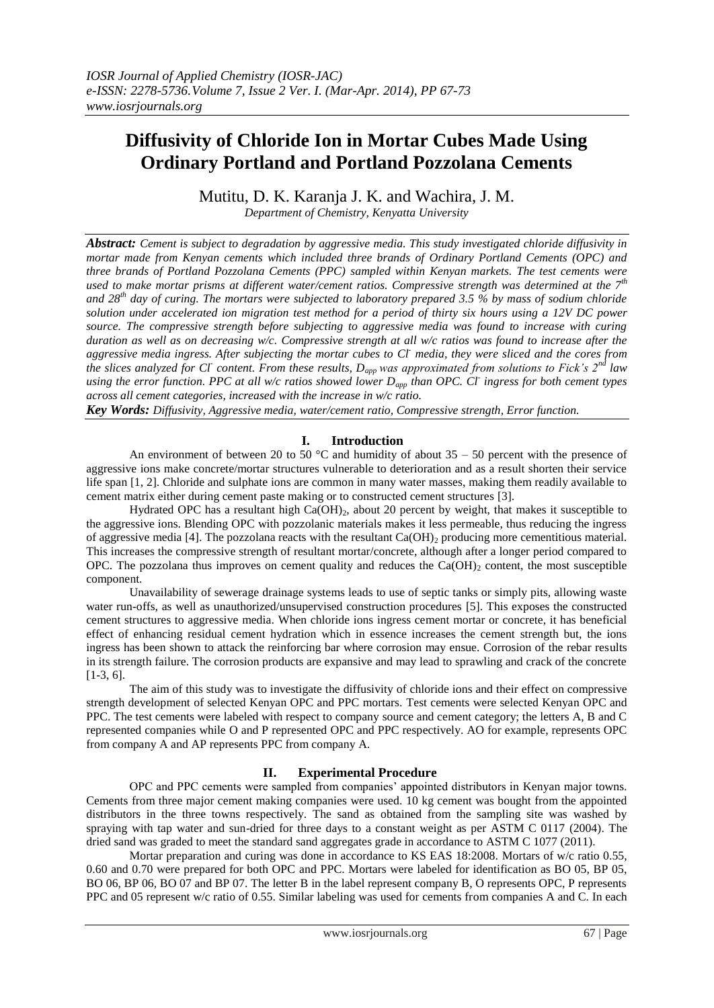# **Diffusivity of Chloride Ion in Mortar Cubes Made Using Ordinary Portland and Portland Pozzolana Cements**

Mutitu, D. K. Karanja J. K. and Wachira, J. M. *Department of Chemistry, Kenyatta University*

*Abstract: Cement is subject to degradation by aggressive media. This study investigated chloride diffusivity in mortar made from Kenyan cements which included three brands of Ordinary Portland Cements (OPC) and three brands of Portland Pozzolana Cements (PPC) sampled within Kenyan markets. The test cements were used to make mortar prisms at different water/cement ratios. Compressive strength was determined at the 7th and 28th day of curing. The mortars were subjected to laboratory prepared 3.5 % by mass of sodium chloride solution under accelerated ion migration test method for a period of thirty six hours using a 12V DC power source. The compressive strength before subjecting to aggressive media was found to increase with curing duration as well as on decreasing w/c. Compressive strength at all w/c ratios was found to increase after the aggressive media ingress. After subjecting the mortar cubes to Cl- media, they were sliced and the cores from the slices analyzed for Cl<sup>-</sup> content. From these results, D<sub><i>app*</sub> was approximated from solutions to Fick's 2<sup>*nd*</sup> law *using the error function. PPC at all w/c ratios showed lower Dapp than OPC. Cl-ingress for both cement types across all cement categories, increased with the increase in w/c ratio.* 

*Key Words: Diffusivity, Aggressive media, water/cement ratio, Compressive strength, Error function.* 

## **I. Introduction**

An environment of between 20 to 50  $^{\circ}$ C and humidity of about 35 – 50 percent with the presence of aggressive ions make concrete/mortar structures vulnerable to deterioration and as a result shorten their service life span [1, 2]. Chloride and sulphate ions are common in many water masses, making them readily available to cement matrix either during cement paste making or to constructed cement structures [3].

Hydrated OPC has a resultant high  $Ca(OH)_{2}$ , about 20 percent by weight, that makes it susceptible to the aggressive ions. Blending OPC with pozzolanic materials makes it less permeable, thus reducing the ingress of aggressive media [4]. The pozzolana reacts with the resultant  $Ca(OH)$  producing more cementitious material. This increases the compressive strength of resultant mortar/concrete, although after a longer period compared to OPC. The pozzolana thus improves on cement quality and reduces the  $Ca(OH)_2$  content, the most susceptible component.

Unavailability of sewerage drainage systems leads to use of septic tanks or simply pits, allowing waste water run-offs, as well as unauthorized/unsupervised construction procedures [5]. This exposes the constructed cement structures to aggressive media. When chloride ions ingress cement mortar or concrete, it has beneficial effect of enhancing residual cement hydration which in essence increases the cement strength but, the ions ingress has been shown to attack the reinforcing bar where corrosion may ensue. Corrosion of the rebar results in its strength failure. The corrosion products are expansive and may lead to sprawling and crack of the concrete [1-3, 6].

The aim of this study was to investigate the diffusivity of chloride ions and their effect on compressive strength development of selected Kenyan OPC and PPC mortars. Test cements were selected Kenyan OPC and PPC. The test cements were labeled with respect to company source and cement category; the letters A, B and C represented companies while O and P represented OPC and PPC respectively. AO for example, represents OPC from company A and AP represents PPC from company A.

## **II. Experimental Procedure**

OPC and PPC cements were sampled from companies' appointed distributors in Kenyan major towns. Cements from three major cement making companies were used. 10 kg cement was bought from the appointed distributors in the three towns respectively. The sand as obtained from the sampling site was washed by spraying with tap water and sun-dried for three days to a constant weight as per ASTM C 0117 (2004). The dried sand was graded to meet the standard sand aggregates grade in accordance to ASTM C 1077 (2011).

Mortar preparation and curing was done in accordance to KS EAS 18:2008. Mortars of w/c ratio 0.55, 0.60 and 0.70 were prepared for both OPC and PPC. Mortars were labeled for identification as BO 05, BP 05, BO 06, BP 06, BO 07 and BP 07. The letter B in the label represent company B, O represents OPC, P represents PPC and 05 represent w/c ratio of 0.55. Similar labeling was used for cements from companies A and C. In each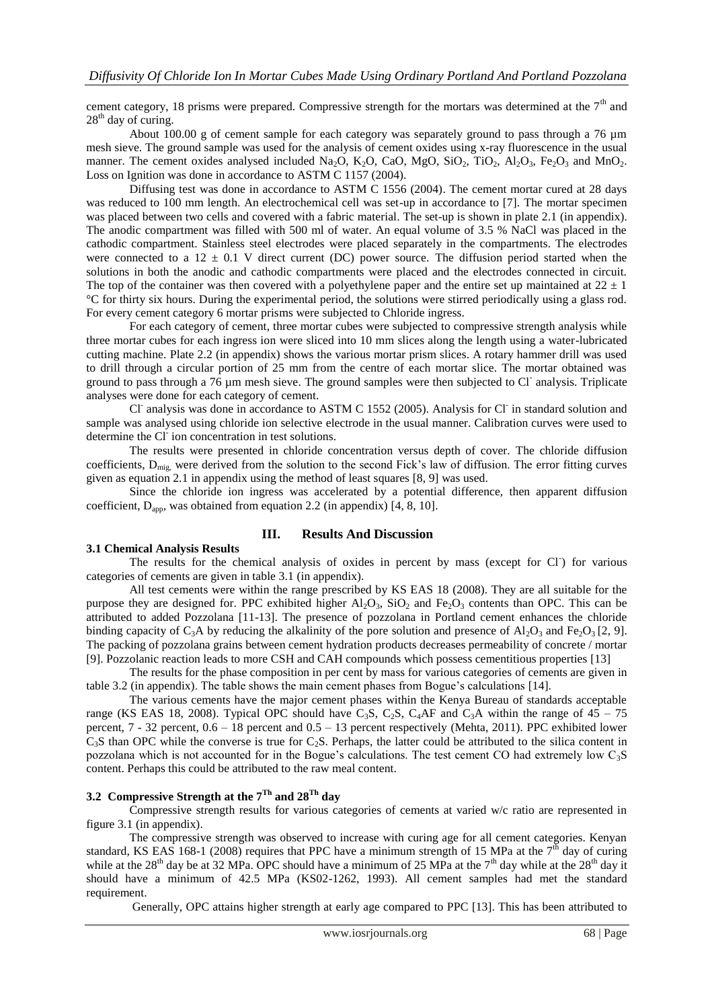cement category, 18 prisms were prepared. Compressive strength for the mortars was determined at the  $7<sup>th</sup>$  and 28<sup>th</sup> day of curing.

About 100.00 g of cement sample for each category was separately ground to pass through a 76 µm mesh sieve. The ground sample was used for the analysis of cement oxides using x-ray fluorescence in the usual manner. The cement oxides analysed included Na<sub>2</sub>O, K<sub>2</sub>O, CaO, MgO, SiO<sub>2</sub>, TiO<sub>2</sub>, Al<sub>2</sub>O<sub>3</sub>, Fe<sub>2</sub>O<sub>3</sub> and MnO<sub>2</sub>. Loss on Ignition was done in accordance to ASTM C 1157 (2004).

Diffusing test was done in accordance to ASTM C 1556 (2004). The cement mortar cured at 28 days was reduced to 100 mm length. An electrochemical cell was set-up in accordance to [7]. The mortar specimen was placed between two cells and covered with a fabric material. The set-up is shown in plate 2.1 (in appendix). The anodic compartment was filled with 500 ml of water. An equal volume of 3.5 % NaCl was placed in the cathodic compartment. Stainless steel electrodes were placed separately in the compartments. The electrodes were connected to a  $12 \pm 0.1$  V direct current (DC) power source. The diffusion period started when the solutions in both the anodic and cathodic compartments were placed and the electrodes connected in circuit. The top of the container was then covered with a polyethylene paper and the entire set up maintained at  $22 \pm 1$ °C for thirty six hours. During the experimental period, the solutions were stirred periodically using a glass rod. For every cement category 6 mortar prisms were subjected to Chloride ingress.

For each category of cement, three mortar cubes were subjected to compressive strength analysis while three mortar cubes for each ingress ion were sliced into 10 mm slices along the length using a water-lubricated cutting machine. Plate 2.2 (in appendix) shows the various mortar prism slices. A rotary hammer drill was used to drill through a circular portion of 25 mm from the centre of each mortar slice. The mortar obtained was ground to pass through a  $76 \mu m$  mesh sieve. The ground samples were then subjected to Cl analysis. Triplicate analyses were done for each category of cement.

Cl<sup>-</sup> analysis was done in accordance to ASTM C 1552 (2005). Analysis for Cl<sup>-</sup> in standard solution and sample was analysed using chloride ion selective electrode in the usual manner. Calibration curves were used to determine the Cl<sup>-</sup> ion concentration in test solutions.

The results were presented in chloride concentration versus depth of cover. The chloride diffusion coefficients, D<sub>mig,</sub> were derived from the solution to the second Fick's law of diffusion. The error fitting curves given as equation 2.1 in appendix using the method of least squares [8, 9] was used.

Since the chloride ion ingress was accelerated by a potential difference, then apparent diffusion coefficient,  $D_{\text{app}}$ , was obtained from equation 2.2 (in appendix) [4, 8, 10].

#### **III. Results And Discussion**

#### **3.1 Chemical Analysis Results**

The results for the chemical analysis of oxides in percent by mass (except for Cl<sup>-</sup>) for various categories of cements are given in table 3.1 (in appendix).

All test cements were within the range prescribed by KS EAS 18 (2008). They are all suitable for the purpose they are designed for. PPC exhibited higher  $Al_2O_3$ ,  $SiO_2$  and  $Fe_2O_3$  contents than OPC. This can be attributed to added Pozzolana [11-13]. The presence of pozzolana in Portland cement enhances the chloride binding capacity of C<sub>3</sub>A by reducing the alkalinity of the pore solution and presence of Al<sub>2</sub>O<sub>3</sub> and Fe<sub>2</sub>O<sub>3</sub> [2, 9]. The packing of pozzolana grains between cement hydration products decreases permeability of concrete / mortar [9]. Pozzolanic reaction leads to more CSH and CAH compounds which possess cementitious properties [13]

The results for the phase composition in per cent by mass for various categories of cements are given in table 3.2 (in appendix). The table shows the main cement phases from Bogue's calculations [14].

The various cements have the major cement phases within the Kenya Bureau of standards acceptable range (KS EAS 18, 2008). Typical OPC should have C<sub>3</sub>S, C<sub>2</sub>S, C<sub>4</sub>AF and C<sub>3</sub>A within the range of  $45 - 75$ percent, 7 - 32 percent, 0.6 – 18 percent and 0.5 – 13 percent respectively (Mehta, 2011). PPC exhibited lower  $C_3$ S than OPC while the converse is true for  $C_2$ S. Perhaps, the latter could be attributed to the silica content in pozzolana which is not accounted for in the Bogue's calculations. The test cement CO had extremely low  $C_3S$ content. Perhaps this could be attributed to the raw meal content.

# **3.2 Compressive Strength at the 7Th and 28Th day**

Compressive strength results for various categories of cements at varied w/c ratio are represented in figure 3.1 (in appendix).

The compressive strength was observed to increase with curing age for all cement categories. Kenyan standard, KS EAS 168-1 (2008) requires that PPC have a minimum strength of 15 MPa at the  $7<sup>th</sup>$  day of curing while at the  $28<sup>th</sup>$  day be at 32 MPa. OPC should have a minimum of 25 MPa at the 7<sup>th</sup> day while at the  $28<sup>th</sup>$  day it should have a minimum of 42.5 MPa (KS02-1262, 1993). All cement samples had met the standard requirement.

Generally, OPC attains higher strength at early age compared to PPC [13]. This has been attributed to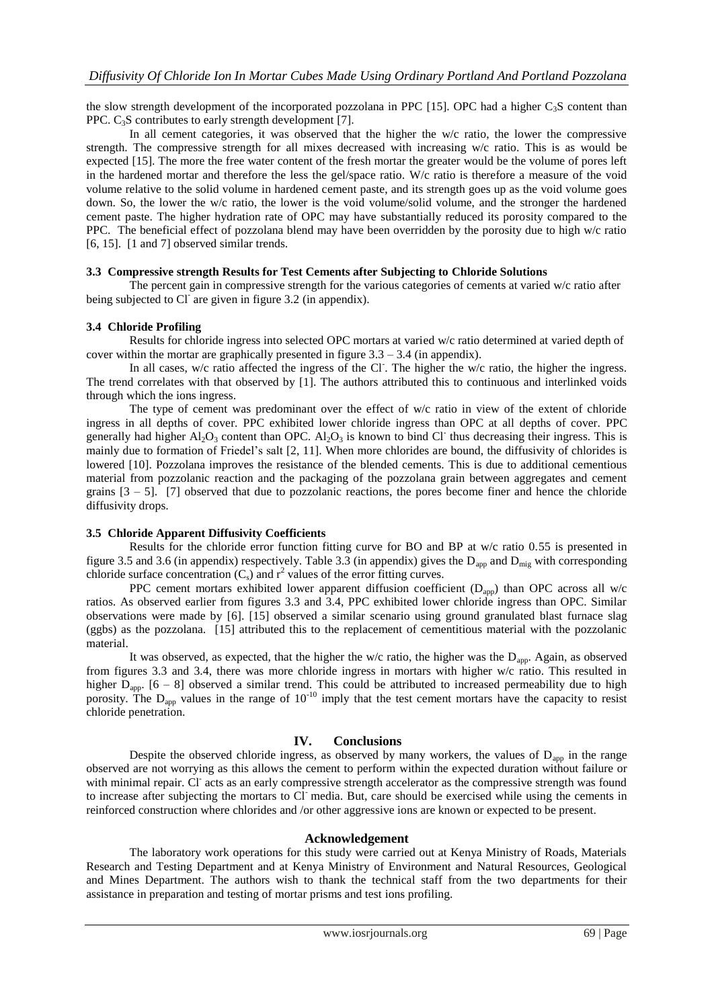the slow strength development of the incorporated pozzolana in PPC [15]. OPC had a higher  $C_3S$  content than PPC. C<sub>3</sub>S contributes to early strength development [7].

In all cement categories, it was observed that the higher the w/c ratio, the lower the compressive strength. The compressive strength for all mixes decreased with increasing w/c ratio. This is as would be expected [15]. The more the free water content of the fresh mortar the greater would be the volume of pores left in the hardened mortar and therefore the less the gel/space ratio. W/c ratio is therefore a measure of the void volume relative to the solid volume in hardened cement paste, and its strength goes up as the void volume goes down. So, the lower the w/c ratio, the lower is the void volume/solid volume, and the stronger the hardened cement paste. The higher hydration rate of OPC may have substantially reduced its porosity compared to the PPC. The beneficial effect of pozzolana blend may have been overridden by the porosity due to high w/c ratio [6, 15]. [1 and 7] observed similar trends.

### **3.3 Compressive strength Results for Test Cements after Subjecting to Chloride Solutions**

The percent gain in compressive strength for the various categories of cements at varied w/c ratio after being subjected to Cl are given in figure 3.2 (in appendix).

## **3.4 Chloride Profiling**

Results for chloride ingress into selected OPC mortars at varied w/c ratio determined at varied depth of cover within the mortar are graphically presented in figure  $3.3 - 3.4$  (in appendix).

In all cases, w/c ratio affected the ingress of the Cl. The higher the w/c ratio, the higher the ingress. The trend correlates with that observed by [1]. The authors attributed this to continuous and interlinked voids through which the ions ingress.

The type of cement was predominant over the effect of w/c ratio in view of the extent of chloride ingress in all depths of cover. PPC exhibited lower chloride ingress than OPC at all depths of cover. PPC generally had higher  $Al_2O_3$  content than OPC.  $Al_2O_3$  is known to bind Cl<sup>-</sup> thus decreasing their ingress. This is mainly due to formation of Friedel's salt [2, 11]. When more chlorides are bound, the diffusivity of chlorides is lowered [10]. Pozzolana improves the resistance of the blended cements. This is due to additional cementious material from pozzolanic reaction and the packaging of the pozzolana grain between aggregates and cement grains  $[3 - 5]$ . [7] observed that due to pozzolanic reactions, the pores become finer and hence the chloride diffusivity drops.

## **3.5 Chloride Apparent Diffusivity Coefficients**

Results for the chloride error function fitting curve for BO and BP at w/c ratio 0.55 is presented in figure 3.5 and 3.6 (in appendix) respectively. Table 3.3 (in appendix) gives the  $D_{app}$  and  $D_{\text{mig}}$  with corresponding chloride surface concentration  $(C_s)$  and  $r^2$  values of the error fitting curves.

PPC cement mortars exhibited lower apparent diffusion coefficient  $(D_{app})$  than OPC across all w/c ratios. As observed earlier from figures 3.3 and 3.4, PPC exhibited lower chloride ingress than OPC. Similar observations were made by [6]. [15] observed a similar scenario using ground granulated blast furnace slag (ggbs) as the pozzolana. [15] attributed this to the replacement of cementitious material with the pozzolanic material.

It was observed, as expected, that the higher the w/c ratio, the higher was the  $D_{app}$ . Again, as observed from figures 3.3 and 3.4, there was more chloride ingress in mortars with higher w/c ratio. This resulted in higher  $D_{app}$ . [6 – 8] observed a similar trend. This could be attributed to increased permeability due to high porosity. The  $D_{app}$  values in the range of  $10^{-10}$  imply that the test cement mortars have the capacity to resist chloride penetration.

## **IV. Conclusions**

Despite the observed chloride ingress, as observed by many workers, the values of  $D_{app}$  in the range observed are not worrying as this allows the cement to perform within the expected duration without failure or with minimal repair. Cl acts as an early compressive strength accelerator as the compressive strength was found to increase after subjecting the mortars to Cl media. But, care should be exercised while using the cements in reinforced construction where chlorides and /or other aggressive ions are known or expected to be present.

### **Acknowledgement**

The laboratory work operations for this study were carried out at Kenya Ministry of Roads, Materials Research and Testing Department and at Kenya Ministry of Environment and Natural Resources, Geological and Mines Department. The authors wish to thank the technical staff from the two departments for their assistance in preparation and testing of mortar prisms and test ions profiling.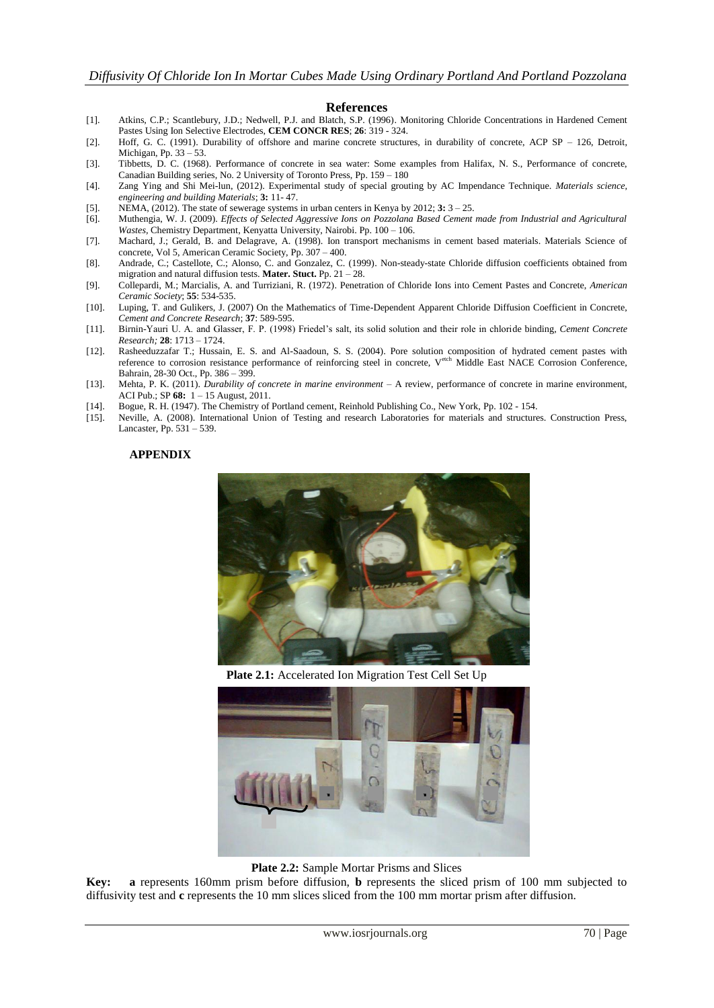#### **References**

- [1]. Atkins, C.P.; Scantlebury, J.D.; Nedwell, P.J. and Blatch, S.P. (1996). Monitoring Chloride Concentrations in Hardened Cement Pastes Using Ion Selective Electrodes, **CEM CONCR RES**; **26**: 319 - 324.
- [2]. Hoff, G. C. (1991). Durability of offshore and marine concrete structures, in durability of concrete, ACP SP 126, Detroit, Michigan, Pp. 33 – 53.
- [3]. Tibbetts, D. C. (1968). Performance of concrete in sea water: Some examples from Halifax, N. S., Performance of concrete, Canadian Building series, No. 2 University of Toronto Press, Pp. 159 – 180
- [4]. Zang Ying and Shi Mei-lun, (2012). Experimental study of special grouting by AC Impendance Technique. *Materials science, engineering and building Materials*; **3:** 11- 47.
- [5]. NEMA, (2012). The state of sewerage systems in urban centers in Kenya by 2012; **3:** 3 25.
- [6]. Muthengia, W. J. (2009). *Effects of Selected Aggressive Ions on Pozzolana Based Cement made from Industrial and Agricultural Wastes,* Chemistry Department, Kenyatta University, Nairobi. Pp. 100 – 106.
- [7]. Machard, J.; Gerald, B. and Delagrave, A. (1998). Ion transport mechanisms in cement based materials. Materials Science of concrete, Vol 5, American Ceramic Society, Pp. 307 – 400.
- [8]. Andrade, C.; Castellote, C.; Alonso, C. and Gonzalez, C. (1999). Non-steady-state Chloride diffusion coefficients obtained from migration and natural diffusion tests. **Mater. Stuct.** Pp. 21 – 28.
- [9]. [Collepardi, M.;](http://ciks.cbt.nist.gov/~bentz/clreslst.html#Collepardi) Marcialis, A. and Turriziani, R. (1972). Penetration of Chloride Ions into Cement Pastes and Concrete, *[American](http://www.acers.org/)  [Ceramic Society](http://www.acers.org/)*; **55**: 534-535.
- [10]. Luping, T. and Gulikers, J. (2007) On the Mathematics of Time-Dependent Apparent Chloride Diffusion Coefficient in Concrete, *Cement and Concrete Research*; **37**: 589-595.
- [11]. Birnin-Yauri U. A. and Glasser, F. P. (1998) Friedel's salt, its solid solution and their role in chloride binding, *Cement Concrete Research;* **28**: 1713 – 1724.
- [12]. Rasheeduzzafar T.; Hussain, E. S. and Al-Saadoun, S. S. (2004). Pore solution composition of hydrated cement pastes with reference to corrosion resistance performance of reinforcing steel in concrete, Vetch Middle East NACE Corrosion Conference, Bahrain, 28-30 Oct., Pp. 386 – 399.
- [13]. Mehta, P. K. (2011). *Durability of concrete in marine environment* A review, performance of concrete in marine environment, ACI Pub.; SP **68:** 1 – 15 August, 2011.
- [14]. Bogue, R. H. (1947). The Chemistry of Portland cement, Reinhold Publishing Co., New York, Pp. 102 154.
- [15]. Neville, A. (2008). International Union of Testing and research Laboratories for materials and structures. Construction Press, Lancaster, Pp. 531 – 539.

#### **APPENDIX**



**Plate 2.1:** Accelerated Ion Migration Test Cell Set Up



**Plate 2.2:** Sample Mortar Prisms and Slices

**Key: a** represents 160mm prism before diffusion, **b** represents the sliced prism of 100 mm subjected to diffusivity test and **c** represents the 10 mm slices sliced from the 100 mm mortar prism after diffusion.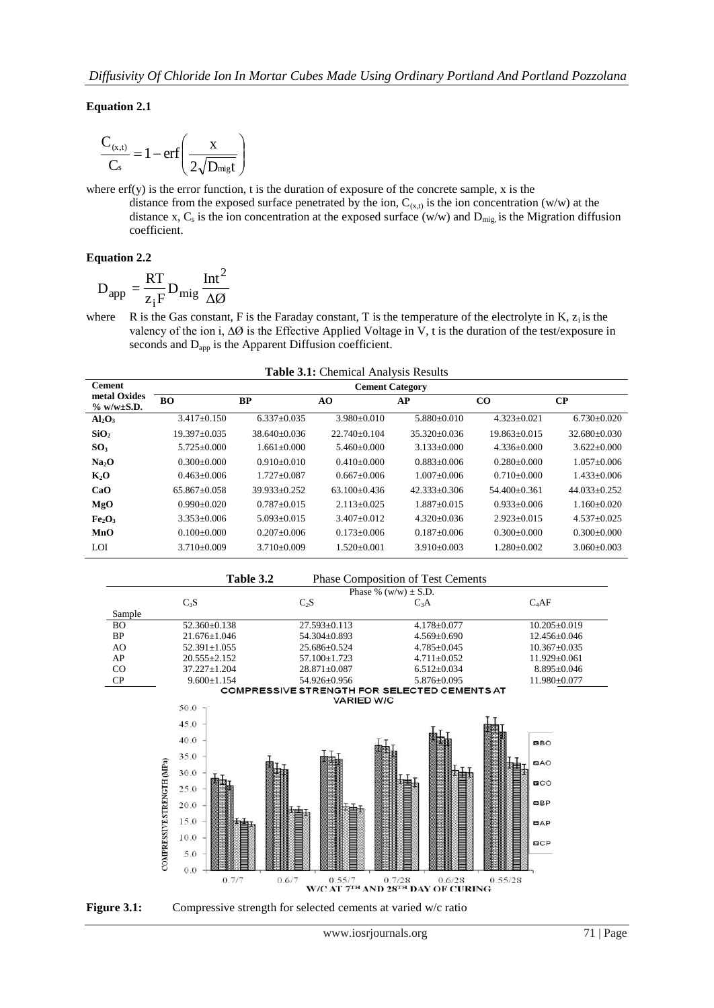**Equation 2.1** 

$$
\frac{C_{(x,t)}}{C_s} = 1 - erf\left(\frac{x}{2\sqrt{D_{\text{migt}}}}\right)
$$

where erf(y) is the error function, t is the duration of exposure of the concrete sample, x is the distance from the exposed surface penetrated by the ion,  $C_{(x,t)}$  is the ion concentration (w/w) at the distance x, C<sub>s</sub> is the ion concentration at the exposed surface (w/w) and  $D_{mig}$  is the Migration diffusion coefficient.

## **Equation 2.2**

$$
D_{app} = \frac{RT}{z_iF} D_{mig} \frac{Int^2}{\Delta \emptyset}
$$

where R is the Gas constant, F is the Faraday constant, T is the temperature of the electrolyte in K,  $z_i$  is the valency of the ion i,  $\Delta\emptyset$  is the Effective Applied Voltage in V, t is the duration of the test/exposure in seconds and  $D_{app}$  is the Apparent Diffusion coefficient.

| <b>Table 3.1:</b> Chemical Analysis Results |                        |                   |                   |                   |                   |                   |  |  |  |
|---------------------------------------------|------------------------|-------------------|-------------------|-------------------|-------------------|-------------------|--|--|--|
| <b>Cement</b>                               | <b>Cement Category</b> |                   |                   |                   |                   |                   |  |  |  |
| metal Oxides<br>$\%$ w/w $\pm$ S.D.         | <b>BO</b>              | <b>BP</b>         | AO                | AP                | $_{\rm CO}$       | $\bf CP$          |  |  |  |
| $Al_2O_3$                                   | $3.417+0.150$          | $6.337+0.035$     | $3.980 + 0.010$   | $5.880+0.010$     | $4.323 + 0.021$   | $6.730+0.020$     |  |  |  |
| SiO <sub>2</sub>                            | 19.397+0.035           | $38.640 + 0.036$  | $22.740+0.104$    | $35.320 + 0.036$  | $19.863 + 0.015$  | $32.680 + 0.030$  |  |  |  |
| SO <sub>3</sub>                             | 5.725±0.000            | $1.661 \pm 0.000$ | $5.460\pm0.000$   | $3.133 \pm 0.000$ | $4.336\pm0.000$   | $3.622+0.000$     |  |  |  |
| Na <sub>2</sub> O                           | $0.300+0.000$          | $0.910+0.010$     | $0.410+0.000$     | $0.883 + 0.006$   | $0.280 + 0.000$   | $1.057 + 0.006$   |  |  |  |
| K <sub>2</sub> O                            | $0.463 + 0.006$        | $1.727 + 0.087$   | $0.667 + 0.006$   | $1.007+0.006$     | $0.710 + 0.000$   | $1.433+0.006$     |  |  |  |
| CaO                                         | $65.867+0.058$         | $39.933+0.252$    | $63.100+0.436$    | $42.333+0.306$    | $54.400+0.361$    | $44.033+0.252$    |  |  |  |
| MgO                                         | $0.990+0.020$          | $0.787 + 0.015$   | $2.113 + 0.025$   | $1.887+0.015$     | $0.933+0.006$     | $1.160 \pm 0.020$ |  |  |  |
| Fe <sub>2</sub> O <sub>3</sub>              | $3.353+0.006$          | $5.093+0.015$     | $3.407 + 0.012$   | $4.320+0.036$     | $2.923+0.015$     | $4.537+0.025$     |  |  |  |
| MnO                                         | $0.100+0.000$          | $0.207 + 0.006$   | $0.173 + 0.006$   | $0.187 + 0.006$   | $0.300 + 0.000$   | $0.300 \pm 0.000$ |  |  |  |
| LOI                                         | $3.710\pm0.009$        | $3.710\pm0.009$   | $1.520 \pm 0.001$ | $3.910\pm0.003$   | $1.280 \pm 0.002$ | $3.060 \pm 0.003$ |  |  |  |

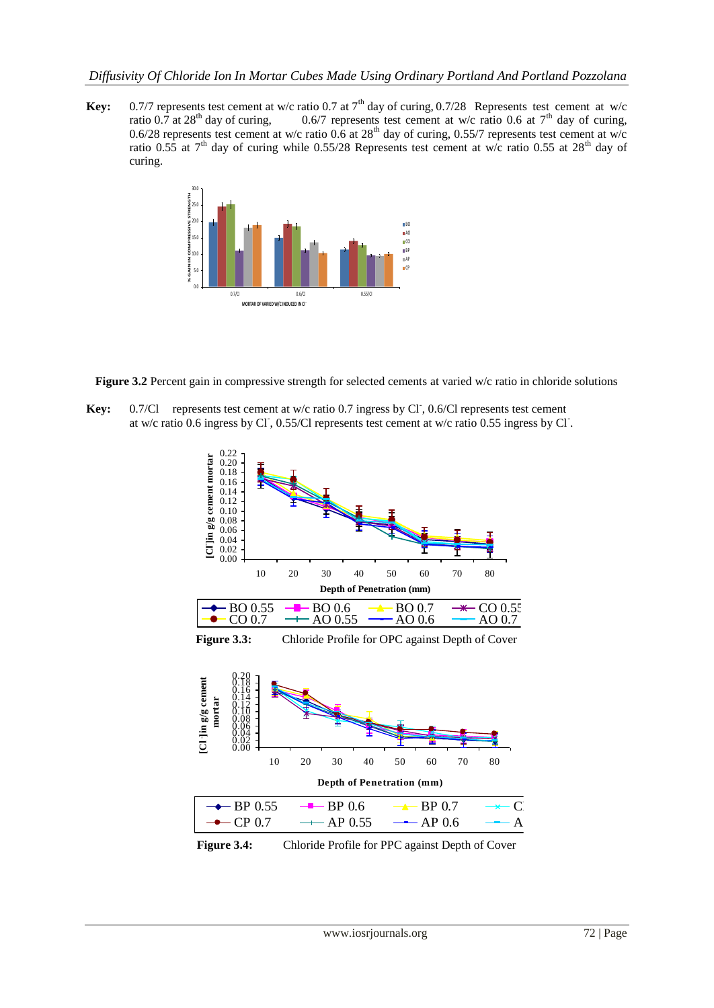**Key:** 0.7/7 represents test cement at w/c ratio 0.7 at  $7<sup>th</sup>$  day of curing, 0.7/28 Represents test cement at w/c ratio 0.7 at 28<sup>th</sup> day of curing, 0.6/7 represents test cement at w/c ratio 0.6 at 7<sup>th</sup> day of curing, 0.6/28 represents test cement at w/c ratio 0.6 at  $28<sup>th</sup>$  day of curing, 0.55/7 represents test cement at w/c ratio 0.55 at  $7<sup>th</sup>$  day of curing while 0.55/28 Represents test cement at w/c ratio 0.55 at 28<sup>th</sup> day of curing.



**Figure 3.2** Percent gain in compressive strength for selected cements at varied w/c ratio in chloride solutions

Key: 0.7/Cl represents test cement at w/c ratio 0.7 ingress by Cl, 0.6/Cl represents test cement at w/c ratio 0.6 ingress by Cl, 0.55/Cl represents test cement at w/c ratio 0.55 ingress by Cl.



**Figure 3.4:** Chloride Profile for PPC against Depth of Cover